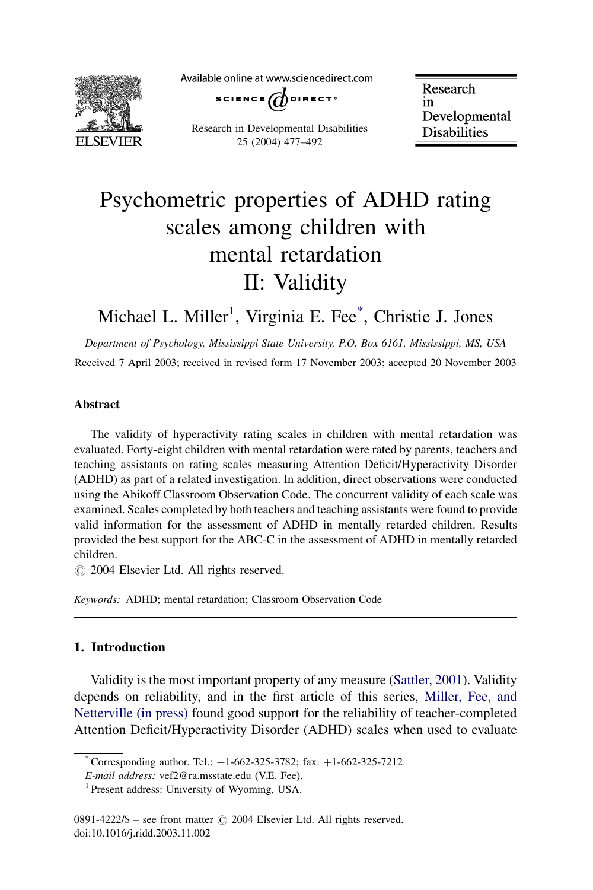

Available online at www.sciencedirect.com



Research in Developmental Disabilities 25 (2004) 477–492

Research in Developmental **Disabilities** 

# Psychometric properties of ADHD rating scales among children with mental retardation II: Validity

### Michael L. Miller<sup>1</sup>, Virginia E. Fee<sup>\*</sup>, Christie J. Jones

Department of Psychology, Mississippi State University, P.O. Box 6161, Mississippi, MS, USA Received 7 April 2003; received in revised form 17 November 2003; accepted 20 November 2003

#### Abstract

The validity of hyperactivity rating scales in children with mental retardation was evaluated. Forty-eight children with mental retardation were rated by parents, teachers and teaching assistants on rating scales measuring Attention Deficit/Hyperactivity Disorder (ADHD) as part of a related investigation. In addition, direct observations were conducted using the Abikoff Classroom Observation Code. The concurrent validity of each scale was examined. Scales completed by both teachers and teaching assistants were found to provide valid information for the assessment of ADHD in mentally retarded children. Results provided the best support for the ABC-C in the assessment of ADHD in mentally retarded children.

 $\odot$  2004 Elsevier Ltd. All rights reserved.

Keywords: ADHD; mental retardation; Classroom Observation Code

### 1. Introduction

Validity is the most important property of any measure ([Sattler, 2001](#page--1-0)). Validity depends on reliability, and in the first article of this series, [Miller, Fee, and](#page--1-0) [Netterville \(in press\)](#page--1-0) found good support for the reliability of teacher-completed Attention Deficit/Hyperactivity Disorder (ADHD) scales when used to evaluate

<sup>\*</sup> Corresponding author. Tel.:  $+1-662-325-3782$ ; fax:  $+1-662-325-7212$ .

E-mail address: vef2@ra.msstate.edu (V.E. Fee).<br><sup>1</sup> Present address: University of Wyoming, USA.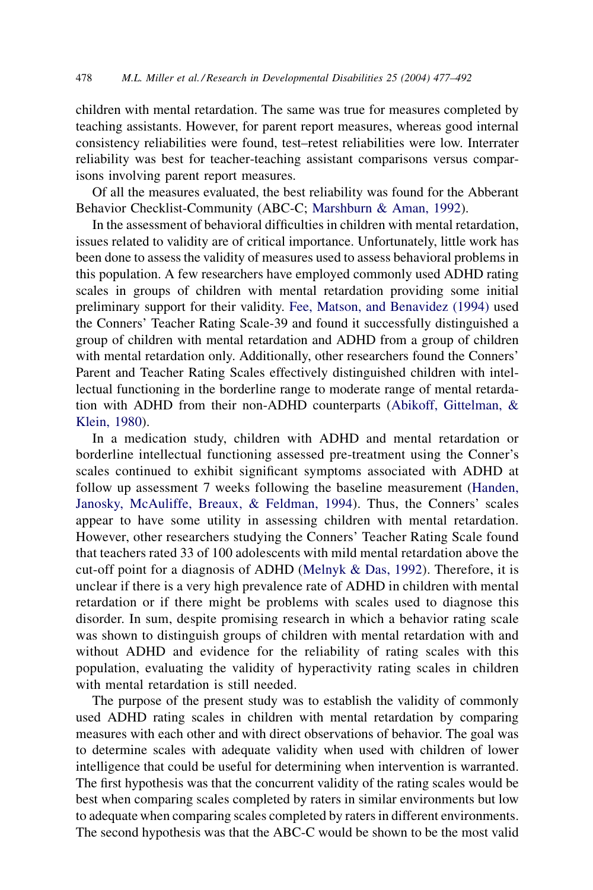children with mental retardation. The same was true for measures completed by teaching assistants. However, for parent report measures, whereas good internal consistency reliabilities were found, test–retest reliabilities were low. Interrater reliability was best for teacher-teaching assistant comparisons versus comparisons involving parent report measures.

Of all the measures evaluated, the best reliability was found for the Abberant Behavior Checklist-Community (ABC-C; [Marshburn & Aman, 1992\)](#page--1-0).

In the assessment of behavioral difficulties in children with mental retardation, issues related to validity are of critical importance. Unfortunately, little work has been done to assess the validity of measures used to assess behavioral problems in this population. A few researchers have employed commonly used ADHD rating scales in groups of children with mental retardation providing some initial preliminary support for their validity. [Fee, Matson, and Benavidez \(1994\)](#page--1-0) used the Conners' Teacher Rating Scale-39 and found it successfully distinguished a group of children with mental retardation and ADHD from a group of children with mental retardation only. Additionally, other researchers found the Conners' Parent and Teacher Rating Scales effectively distinguished children with intellectual functioning in the borderline range to moderate range of mental retardation with ADHD from their non-ADHD counterparts [\(Abikoff, Gittelman, &](#page--1-0) [Klein, 1980](#page--1-0)).

In a medication study, children with ADHD and mental retardation or borderline intellectual functioning assessed pre-treatment using the Conner's scales continued to exhibit significant symptoms associated with ADHD at follow up assessment 7 weeks following the baseline measurement ([Handen,](#page--1-0) [Janosky, McAuliffe, Breaux, & Feldman, 1994\)](#page--1-0). Thus, the Conners' scales appear to have some utility in assessing children with mental retardation. However, other researchers studying the Conners' Teacher Rating Scale found that teachers rated 33 of 100 adolescents with mild mental retardation above the cut-off point for a diagnosis of ADHD ([Melnyk & Das, 1992\)](#page--1-0). Therefore, it is unclear if there is a very high prevalence rate of ADHD in children with mental retardation or if there might be problems with scales used to diagnose this disorder. In sum, despite promising research in which a behavior rating scale was shown to distinguish groups of children with mental retardation with and without ADHD and evidence for the reliability of rating scales with this population, evaluating the validity of hyperactivity rating scales in children with mental retardation is still needed.

The purpose of the present study was to establish the validity of commonly used ADHD rating scales in children with mental retardation by comparing measures with each other and with direct observations of behavior. The goal was to determine scales with adequate validity when used with children of lower intelligence that could be useful for determining when intervention is warranted. The first hypothesis was that the concurrent validity of the rating scales would be best when comparing scales completed by raters in similar environments but low to adequate when comparing scales completed by raters in different environments. The second hypothesis was that the ABC-C would be shown to be the most valid